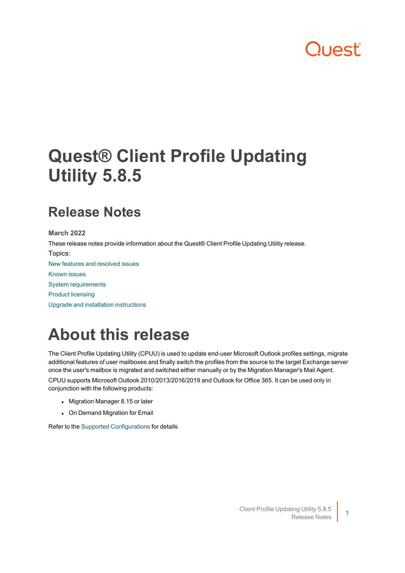# DUAST"

# **Quest® Client Profile Updating Utility 5.8.5**

## **Release Notes**

**March 2022**

These release notes provide information about the Quest® Client Profile Updating Utility release. Topics:

New features and [resolved](#page-1-0) issues

[Known](#page-7-0) issues

System [requirements](#page-11-0)

Product [licensing](#page-11-1)

Upgrade and installation [instructions](#page-11-2)

# **About this release**

The Client Profile Updating Utility (CPUU) is used to update end-user Microsoft Outlook profiles settings, migrate additional features of user mailboxes and finally switch the profiles from the source to the target Exchange server once the user's mailbox is migrated and switched either manually or by the Migration Manager's Mail Agent.

CPUU supports Microsoft Outlook 2010/2013/2016/2019 and Outlook for Office 365. It can be used only in conjunction with the following products:

- Migration Manager 8.15 or later
- On Demand Migration for Email

Refer to the Supported [Configurations](#page-1-1) for details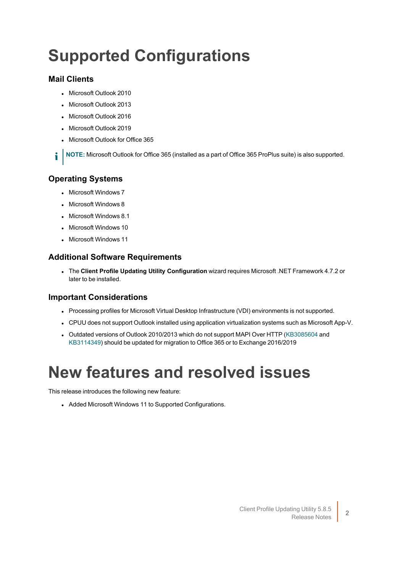# <span id="page-1-1"></span>**Supported Configurations**

### **Mail Clients**

- Microsoft Outlook 2010
- Microsoft Outlook 2013
- Microsoft Outlook 2016
- Microsoft Outlook 2019
- **Microsoft Outlook for Office 365**

**NOTE:** Microsoft Outlook for Office 365 (installed as a part of Office 365 ProPlus suite) is also supported. i

### **Operating Systems**

- Microsoft Windows 7
- Microsoft Windows 8
- $\bullet$  Microsoft Windows 8.1
- Microsoft Windows 10
- Microsoft Windows 11

### **Additional Software Requirements**

<sup>l</sup> The **Client Profile Updating Utility Configuration** wizard requires Microsoft .NET Framework 4.7.2 or later to be installed.

### **Important Considerations**

- Processing profiles for Microsoft Virtual Desktop Infrastructure (VDI) environments is not supported.
- CPUU does not support Outlook installed using application virtualization systems such as Microsoft App-V.
- Outdated versions of Outlook 2010/2013 which do not support MAPI Over HTTP [\(KB3085604](https://support.microsoft.com/en-us/help/3085604/october-13-2015-update-for-outlook-2010-kb3085604) and [KB3114349](https://support.microsoft.com/en-us/help/3114349/december-8-2015-update-for-outlook-2013-kb3114349)) should be updated for migration to Office 365 or to Exchange 2016/2019

# <span id="page-1-0"></span>**New features and resolved issues**

This release introduces the following new feature:

• Added Microsoft Windows 11 to Supported Configurations.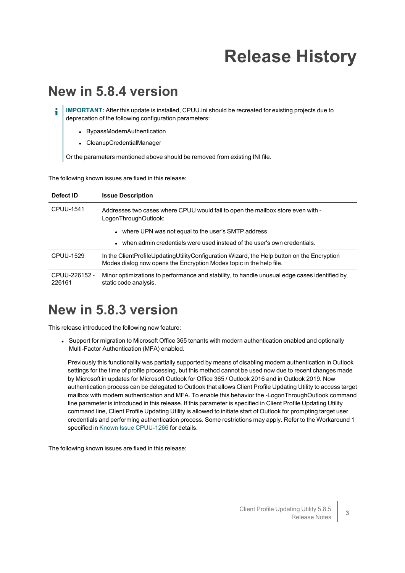# **Release History**

### **New in 5.8.4 version**

**IMPORTANT:** After this update is installed, CPUU.ini should be recreated for existing projects due to i deprecation of the following configuration parameters:

- BypassModernAuthentication
- CleanupCredentialManager

Or the parameters mentioned above should be removed from existing INI file.

The following known issues are fixed in this release:

| Defect ID               | <b>Issue Description</b>                                                                                                                                          |
|-------------------------|-------------------------------------------------------------------------------------------------------------------------------------------------------------------|
| CPUU-1541               | Addresses two cases where CPUU would fail to open the mailbox store even with -<br>LogonThroughOutlook:                                                           |
|                         | • where UPN was not equal to the user's SMTP address                                                                                                              |
|                         | . when admin credentials were used instead of the user's own credentials.                                                                                         |
| CPUU-1529               | In the ClientProfileUpdatingUtilityConfiguration Wizard, the Help button on the Encryption<br>Modes dialog now opens the Encryption Modes topic in the help file. |
| CPUU-226152 -<br>226161 | Minor optimizations to performance and stability, to handle unusual edge cases identified by<br>static code analysis.                                             |

### **New in 5.8.3 version**

This release introduced the following new feature:

• Support for migration to Microsoft Office 365 tenants with modern authentication enabled and optionally Multi-Factor Authentication (MFA) enabled.

Previously this functionality was partially supported by means of disabling modern authentication in Outlook settings for the time of profile processing, but this method cannot be used now due to recent changes made by Microsoft in updates for Microsoft Outlook for Office 365 / Outlook 2016 and in Outlook 2019. Now authentication process can be delegated to Outlook that allows Client Profile Updating Utility to access target mailbox with modern authentication and MFA. To enable this behavior the -LogonThroughOutlook command line parameter is introduced in this release. If this parameter is specified in Client Profile Updating Utility command line, Client Profile Updating Utility is allowed to initiate start of Outlook for prompting target user credentials and performing authentication process. Some restrictions may apply. Refer to the Workaround 1 specified in Known Issue [CPUU-1266](#page-7-1) for details.

The following known issues are fixed in this release: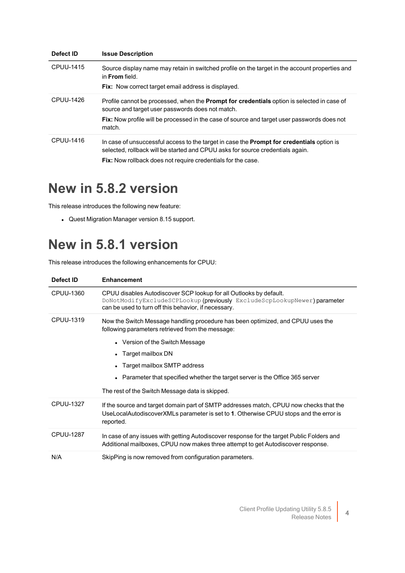| Defect ID | <b>Issue Description</b>                                                                                                                                                                                                                                              |
|-----------|-----------------------------------------------------------------------------------------------------------------------------------------------------------------------------------------------------------------------------------------------------------------------|
| CPUU-1415 | Source display name may retain in switched profile on the target in the account properties and<br>in From field.<br>Fix: Now correct target email address is displayed.                                                                                               |
| CPUU-1426 | Profile cannot be processed, when the <b>Prompt for credentials</b> option is selected in case of<br>source and target user passwords does not match.<br><b>Fix:</b> Now profile will be processed in the case of source and target user passwords does not<br>match. |
| CPUU-1416 | In case of unsuccessful access to the target in case the <b>Prompt for credentials</b> option is<br>selected, rollback will be started and CPUU asks for source credentials again.<br><b>Fix:</b> Now rollback does not require credentials for the case.             |

### **New in 5.8.2 version**

This release introduces the following new feature:

• Quest Migration Manager version 8.15 support.

## **New in 5.8.1 version**

This release introduces the following enhancements for CPUU:

| Defect ID        | <b>Enhancement</b>                                                                                                                                                                                                                                                                                                                                             |
|------------------|----------------------------------------------------------------------------------------------------------------------------------------------------------------------------------------------------------------------------------------------------------------------------------------------------------------------------------------------------------------|
| CPUU-1360        | CPUU disables Autodiscover SCP lookup for all Outlooks by default.<br>DoNotModifyExcludeSCPLookup (previously ExcludeScpLookupNewer) parameter<br>can be used to turn off this behavior, if necessary.                                                                                                                                                         |
| CPUU-1319        | Now the Switch Message handling procedure has been optimized, and CPUU uses the<br>following parameters retrieved from the message:<br>• Version of the Switch Message<br>Target mailbox DN<br>Target mailbox SMTP address<br>• Parameter that specified whether the target server is the Office 365 server<br>The rest of the Switch Message data is skipped. |
| <b>CPUU-1327</b> | If the source and target domain part of SMTP addresses match, CPUU now checks that the<br>UseLocalAutodiscoverXMLs parameter is set to 1. Otherwise CPUU stops and the error is<br>reported.                                                                                                                                                                   |
| <b>CPUU-1287</b> | In case of any issues with getting Autodiscover response for the target Public Folders and<br>Additional mailboxes, CPUU now makes three attempt to get Autodiscover response.                                                                                                                                                                                 |
| N/A              | SkipPing is now removed from configuration parameters.                                                                                                                                                                                                                                                                                                         |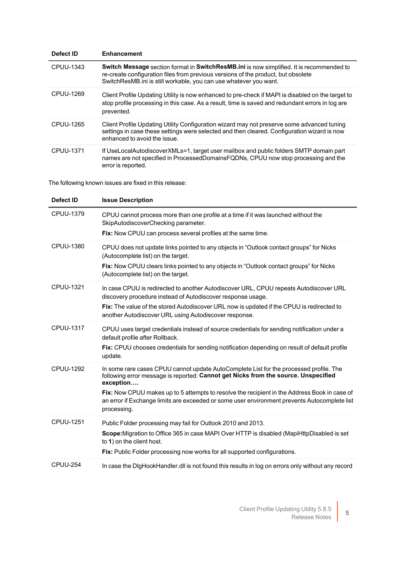| Defect ID | <b>Enhancement</b>                                                                                                                                                                                                                                 |
|-----------|----------------------------------------------------------------------------------------------------------------------------------------------------------------------------------------------------------------------------------------------------|
| CPUU-1343 | Switch Message section format in SwitchResMB.ini is now simplified. It is recommended to<br>re-create configuration files from previous versions of the product, but obsolete<br>SwitchResMB.ini is still workable, you can use whatever you want. |
| CPUU-1269 | Client Profile Updating Utility is now enhanced to pre-check if MAPI is disabled on the target to<br>stop profile processing in this case. As a result, time is saved and redundant errors in log are<br>prevented.                                |
| CPUU-1265 | Client Profile Updating Utility Configuration wizard may not preserve some advanced tuning<br>settings in case these settings were selected and then cleared. Configuration wizard is now<br>enhanced to avoid the issue.                          |
| CPUU-1371 | If UseLocalAutodiscoverXMLs=1, target user mailbox and public folders SMTP domain part<br>names are not specified in ProcessedDomainsFQDNs, CPUU now stop processing and the<br>error is reported.                                                 |

The following known issues are fixed in this release:

| Defect ID        | <b>Issue Description</b>                                                                                                                                                                                                                                                                                                                                                                                 |
|------------------|----------------------------------------------------------------------------------------------------------------------------------------------------------------------------------------------------------------------------------------------------------------------------------------------------------------------------------------------------------------------------------------------------------|
| <b>CPUU-1379</b> | CPUU cannot process more than one profile at a time if it was launched without the<br>SkipAutodiscoverChecking parameter.<br>Fix: Now CPUU can process several profiles at the same time.                                                                                                                                                                                                                |
| <b>CPUU-1380</b> | CPUU does not update links pointed to any objects in "Outlook contact groups" for Nicks<br>(Autocomplete list) on the target.<br>Fix: Now CPUU clears links pointed to any objects in "Outlook contact groups" for Nicks<br>(Autocomplete list) on the target.                                                                                                                                           |
| <b>CPUU-1321</b> | In case CPUU is redirected to another Autodiscover URL, CPUU repeats Autodiscover URL<br>discovery procedure instead of Autodiscover response usage.<br>Fix: The value of the stored Autodiscover URL now is updated if the CPUU is redirected to<br>another Autodiscover URL using Autodiscover response.                                                                                               |
| <b>CPUU-1317</b> | CPUU uses target credentials instead of source credentials for sending notification under a<br>default profile after Rollback.<br>Fix: CPUU chooses credentials for sending notification depending on result of default profile<br>update.                                                                                                                                                               |
| <b>CPUU-1292</b> | In some rare cases CPUU cannot update AutoComplete List for the processed profile. The<br>following error message is reported: Cannot get Nicks from the source. Unspecified<br>exception<br>Fix: Now CPUU makes up to 5 attempts to resolve the recipient in the Address Book in case of<br>an error if Exchange limits are exceeded or some user environment prevents Autocomplete list<br>processing. |
| <b>CPUU-1251</b> | Public Folder processing may fail for Outlook 2010 and 2013.<br>Scope: Migration to Office 365 in case MAPI Over HTTP is disabled (MapiHttpDisabled is set<br>to 1) on the client host.<br>Fix: Public Folder processing now works for all supported configurations.                                                                                                                                     |
| <b>CPUU-254</b>  | In case the DigHookHandler.dll is not found this results in log on errors only without any record                                                                                                                                                                                                                                                                                                        |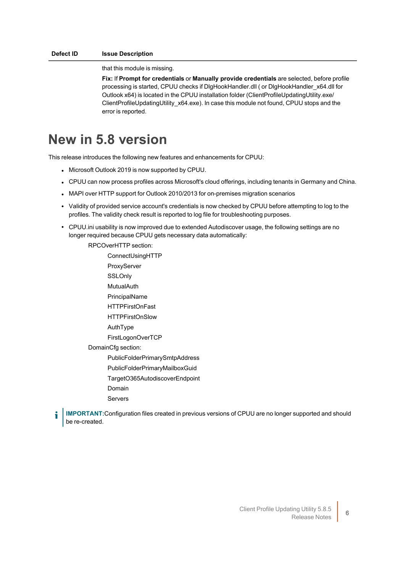that this module is missing.

**Fix:** If **Prompt for credentials** or **Manually provide credentials** are selected, before profile processing is started, CPUU checks if DlgHookHandler.dll ( or DlgHookHandler x64.dll for Outlook x64) is located in the CPUU installation folder (ClientProfileUpdatingUtility.exe/ ClientProfileUpdatingUtility\_x64.exe). In case this module not found, CPUU stops and the error is reported.

## **New in 5.8 version**

This release introduces the following new features and enhancements for CPUU:

- Microsoft Outlook 2019 is now supported by CPUU.
- CPUU can now process profiles across Microsoft's cloud offerings, including tenants in Germany and China.
- MAPI over HTTP support for Outlook 2010/2013 for on-premises migration scenarios
- Validity of provided service account's credentials is now checked by CPUU before attempting to log to the profiles. The validity check result is reported to log file for troubleshooting purposes.
- CPUU.ini usability is now improved due to extended Autodiscover usage, the following settings are no longer required because CPUU gets necessary data automatically:

RPCOverHTTP section:

ConnectUsingHTTP ProxyServer SSLOnly MutualAuth PrincipalName HTTPFirstOnFast HTTPFirstOnSlow AuthType FirstLogonOverTCP DomainCfg section: PublicFolderPrimarySmtpAddress PublicFolderPrimaryMailboxGuid TargetO365AutodiscoverEndpoint Domain Servers

**IMPORTANT:**Configuration files created in previous versions of CPUU are no longer supported and should be re-created.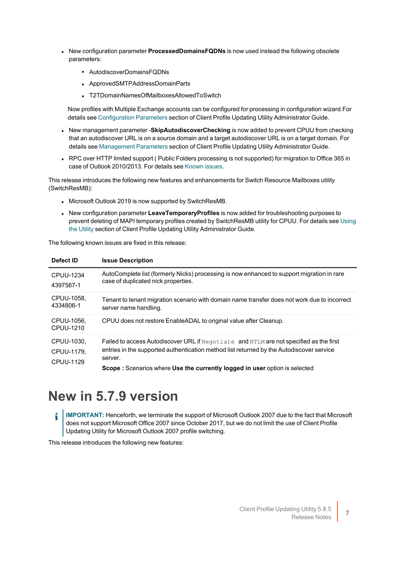- **New configuration parameter ProcessedDomainsFQDNs** is now used instead the following obsolete parameters:
	- AutodiscoverDomainsFQDNs
	- ApprovedSMTPAddressDomainParts
	- T2TDomainNamesOfMailboxesAllowedToSwitch

Now profiles with Multiple Exchange accounts can be configured for processing in configuration wizard.For details see [Configuration](http://support.quest.com/technical-documents/client-profile-updating-utility/5.8.5/administrator-guide/technical-reference/cpuu-parameters/configuration-parameters) Parameters section of Client Profile Updating Utility Administrator Guide.

- New management parameter Skip Autodiscover Checking is now added to prevent CPUU from checking that an autodiscover URL is on a source domain and a target autodiscover URL is on a target domain. For details see [Management](http://support.quest.com/technical-documents/client-profile-updating-utility/5.8.5/administrator-guide/technical-reference/cpuu-parameters/management-parameters) Parameters section of Client Profile Updating Utility Administrator Guide.
- RPC over HTTP limited support ( Public Folders processing is not supported) for migration to Office 365 in case of Outlook 2010/2013. For details see [Known](#page-7-0) issues.

This release introduces the following new features and enhancements for Switch Resource Mailboxes utility (SwitchResMB):

- Microsoft Outlook 2019 is now supported by SwitchResMB.
- **.** New configuration parameter LeaveTemporaryProfiles is now added for troubleshooting purposes to prevent deleting of MAPI temporary profiles created by SwitchResMB utility for CPUU. For details see [Using](https://support.quest.com/technical-documents/client-profile-updating-utility/5.8.5/administrator-guide/updating-resource-mailboxes/using-the-utility) the [Utility](https://support.quest.com/technical-documents/client-profile-updating-utility/5.8.5/administrator-guide/updating-resource-mailboxes/using-the-utility) section of Client Profile Updating Utility Administrator Guide.

The following known issues are fixed in this release:

| Defect ID                             | <b>Issue Description</b>                                                                                                                                                                                                                                                           |
|---------------------------------------|------------------------------------------------------------------------------------------------------------------------------------------------------------------------------------------------------------------------------------------------------------------------------------|
| <b>CPUU-1234</b><br>4397567-1         | AutoComplete list (formerly Nicks) processing is now enhanced to support migration in rare<br>case of duplicated nick properties.                                                                                                                                                  |
| CPUU-1058.<br>4334806-1               | Tenant to tenant migration scenario with domain name transfer does not work due to incorrect<br>server name handling.                                                                                                                                                              |
| CPUU-1056.<br>CPUU-1210               | CPUU does not restore EnableADAL to original value after Cleanup.                                                                                                                                                                                                                  |
| CPUU-1030,<br>CPUU-1179.<br>CPUU-1129 | Failed to access Autodiscover URL if Negotiate and NTLM are not specified as the first<br>entries in the supported authentication method list returned by the Autodiscover service<br>server.<br><b>Scope:</b> Scenarios where Use the currently logged in user option is selected |

## **New in 5.7.9 version**

**IMPORTANT:** Henceforth, we terminate the support of Microsoft Outlook 2007 due to the fact that Microsoft i does not support Microsoft Office 2007 since October 2017, but we do not limit the use of Client Profile Updating Utility for Microsoft Outlook 2007 profile switching.

This release introduces the following new features: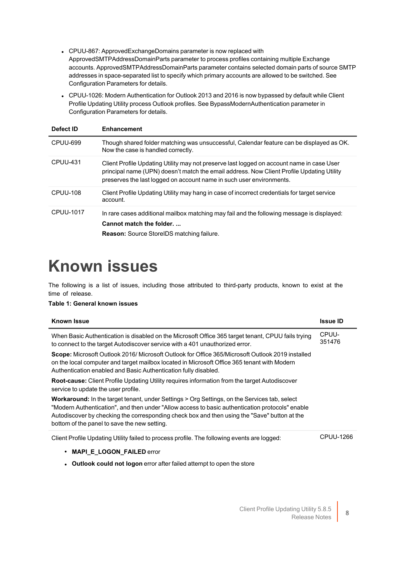- CPUU-867: ApprovedExchangeDomains parameter is now replaced with ApprovedSMTPAddressDomainParts parameter to process profiles containing multiple Exchange accounts. ApprovedSMTPAddressDomainParts parameter contains selected domain parts of source SMTP addresses in space-separated list to specify which primary accounts are allowed to be switched. See Configuration Parameters for details.
- CPUU-1026: Modern Authentication for Outlook 2013 and 2016 is now bypassed by default while Client Profile Updating Utility process Outlook profiles. See BypassModernAuthentication parameter in Configuration Parameters for details.

| Defect ID       | <b>Enhancement</b>                                                                                                                                                                                                                                             |
|-----------------|----------------------------------------------------------------------------------------------------------------------------------------------------------------------------------------------------------------------------------------------------------------|
| <b>CPUU-699</b> | Though shared folder matching was unsuccessful, Calendar feature can be displayed as OK.<br>Now the case is handled correctly.                                                                                                                                 |
| CPUU-431        | Client Profile Updating Utility may not preserve last logged on account name in case User<br>principal name (UPN) doesn't match the email address. Now Client Profile Updating Utility<br>preserves the last logged on account name in such user environments. |
| CPUU-108        | Client Profile Updating Utility may hang in case of incorrect credentials for target service<br>account.                                                                                                                                                       |
| CPUU-1017       | In rare cases additional mailbox matching may fail and the following message is displayed:<br>Cannot match the folder<br><b>Reason:</b> Source StoreIDS matching failure.                                                                                      |

## <span id="page-7-0"></span>**Known issues**

The following is a list of issues, including those attributed to third-party products, known to exist at the time of release.

### **Table 1: General known issues**

<span id="page-7-1"></span>

| <b>Known Issue</b>                                                                                                                                                                                                                                                                                                                                     | <b>Issue ID</b> |
|--------------------------------------------------------------------------------------------------------------------------------------------------------------------------------------------------------------------------------------------------------------------------------------------------------------------------------------------------------|-----------------|
| When Basic Authentication is disabled on the Microsoft Office 365 target tenant, CPUU fails trying<br>to connect to the target Autodiscover service with a 401 unauthorized error.                                                                                                                                                                     | CPUU-<br>351476 |
| Scope: Microsoft Outlook 2016/ Microsoft Outlook for Office 365/Microsoft Outlook 2019 installed<br>on the local computer and target mailbox located in Microsoft Office 365 tenant with Modern<br>Authentication enabled and Basic Authentication fully disabled.                                                                                     |                 |
| Root-cause: Client Profile Updating Utility requires information from the target Autodiscover<br>service to update the user profile.                                                                                                                                                                                                                   |                 |
| <b>Workaround:</b> In the target tenant, under Settings > Org Settings, on the Services tab, select<br>"Modern Authentication", and then under "Allow access to basic authentication protocols" enable<br>Autodiscover by checking the corresponding check box and then using the "Save" button at the<br>bottom of the panel to save the new setting. |                 |
| Client Profile Updating Utility failed to process profile. The following events are logged:                                                                                                                                                                                                                                                            | CPUU-1266       |
| <b>MAPI_E_LOGON_FAILED error</b><br>$\bullet$                                                                                                                                                                                                                                                                                                          |                 |
| <b>Outlook could not logon</b> error after failed attempt to open the store                                                                                                                                                                                                                                                                            |                 |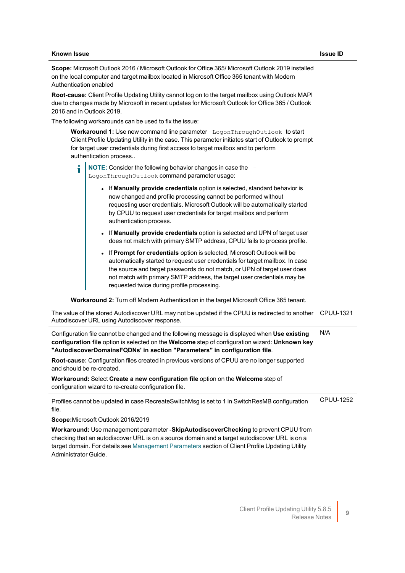#### **Known Issue Issue ID**

**Scope:** Microsoft Outlook 2016 / Microsoft Outlook for Office 365/ Microsoft Outlook 2019 installed on the local computer and target mailbox located in Microsoft Office 365 tenant with Modern Authentication enabled

**Root-cause:** Client Profile Updating Utility cannot log on to the target mailbox using Outlook MAPI due to changes made by Microsoft in recent updates for Microsoft Outlook for Office 365 / Outlook 2016 and in Outlook 2019.

The following workarounds can be used to fix the issue:

**Workaround 1:** Use new command line parameter -LogonThroughOutlook to start Client Profile Updating Utility in the case. This parameter initiates start of Outlook to prompt for target user credentials during first access to target mailbox and to perform authentication process..

**NOTE:** Consider the following behavior changes in case the - LogonThroughOutlook command parameter usage:

- **.** If Manually provide credentials option is selected, standard behavior is now changed and profile processing cannot be performed without requesting user credentials. Microsoft Outlook will be automatically started by CPUU to request user credentials for target mailbox and perform authentication process.
- **.** If Manually provide credentials option is selected and UPN of target user does not match with primary SMTP address, CPUU fails to process profile.
- **.** If Prompt for credentials option is selected, Microsoft Outlook will be automatically started to request user credentials for target mailbox. In case the source and target passwords do not match, or UPN of target user does not match with primary SMTP address, the target user credentials may be requested twice during profile processing.

**Workaround 2:** Turn off Modern Authentication in the target Microsoft Office 365 tenant.

| The value of the stored Autodiscover URL may not be updated if the CPUU is redirected to another CPUU-1321<br>Autodiscover URL using Autodiscover response.                                                                                                                                                     |           |
|-----------------------------------------------------------------------------------------------------------------------------------------------------------------------------------------------------------------------------------------------------------------------------------------------------------------|-----------|
| Configuration file cannot be changed and the following message is displayed when Use existing<br>configuration file option is selected on the Welcome step of configuration wizard: Unknown key<br>"AutodiscoverDomainsFQDNs' in section "Parameters" in configuration file.                                    | N/A       |
| Root-cause: Configuration files created in previous versions of CPUU are no longer supported<br>and should be re-created.                                                                                                                                                                                       |           |
| Workaround: Select Create a new configuration file option on the Welcome step of<br>configuration wizard to re-create configuration file.                                                                                                                                                                       |           |
| Profiles cannot be updated in case RecreateSwitchMsg is set to 1 in SwitchResMB configuration<br>file.                                                                                                                                                                                                          | CPUU-1252 |
| Scope: Microsoft Outlook 2016/2019                                                                                                                                                                                                                                                                              |           |
| Workaround: Use management parameter -SkipAutodiscoverChecking to prevent CPUU from<br>checking that an autodiscover URL is on a source domain and a target autodiscover URL is on a<br>target domain. For details see Management Parameters section of Client Profile Updating Utility<br>Administrator Guide. |           |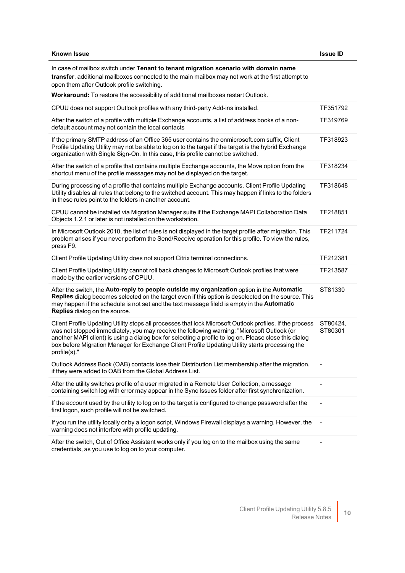| <b>Known Issue</b>                                                                                                                                                                                                                                                                                                                                                                                                                  | <b>Issue ID</b>     |
|-------------------------------------------------------------------------------------------------------------------------------------------------------------------------------------------------------------------------------------------------------------------------------------------------------------------------------------------------------------------------------------------------------------------------------------|---------------------|
| In case of mailbox switch under Tenant to tenant migration scenario with domain name<br>transfer, additional mailboxes connected to the main mailbox may not work at the first attempt to<br>open them after Outlook profile switching.                                                                                                                                                                                             |                     |
| Workaround: To restore the accessibility of additional mailboxes restart Outlook.                                                                                                                                                                                                                                                                                                                                                   |                     |
| CPUU does not support Outlook profiles with any third-party Add-ins installed.                                                                                                                                                                                                                                                                                                                                                      | TF351792            |
| After the switch of a profile with multiple Exchange accounts, a list of address books of a non-<br>default account may not contain the local contacts                                                                                                                                                                                                                                                                              | TF319769            |
| If the primary SMTP address of an Office 365 user contains the onmicrosoft.com suffix, Client<br>Profile Updating Utility may not be able to log on to the target if the target is the hybrid Exchange<br>organization with Single Sign-On. In this case, this profile cannot be switched.                                                                                                                                          | TF318923            |
| After the switch of a profile that contains multiple Exchange accounts, the Move option from the<br>shortcut menu of the profile messages may not be displayed on the target.                                                                                                                                                                                                                                                       | TF318234            |
| During processing of a profile that contains multiple Exchange accounts, Client Profile Updating<br>Utility disables all rules that belong to the switched account. This may happen if links to the folders<br>in these rules point to the folders in another account.                                                                                                                                                              | TF318648            |
| CPUU cannot be installed via Migration Manager suite if the Exchange MAPI Collaboration Data<br>Objects 1.2.1 or later is not installed on the workstation.                                                                                                                                                                                                                                                                         | TF218851            |
| In Microsoft Outlook 2010, the list of rules is not displayed in the target profile after migration. This<br>problem arises if you never perform the Send/Receive operation for this profile. To view the rules,<br>press F9.                                                                                                                                                                                                       | TF211724            |
| Client Profile Updating Utility does not support Citrix terminal connections.                                                                                                                                                                                                                                                                                                                                                       | TF212381            |
| Client Profile Updating Utility cannot roll back changes to Microsoft Outlook profiles that were<br>made by the earlier versions of CPUU.                                                                                                                                                                                                                                                                                           | TF213587            |
| After the switch, the Auto-reply to people outside my organization option in the Automatic<br>Replies dialog becomes selected on the target even if this option is deselected on the source. This<br>may happen if the schedule is not set and the text message fileld is empty in the Automatic<br>Replies dialog on the source.                                                                                                   | ST81330             |
| Client Profile Updating Utility stops all processes that lock Microsoft Outlook profiles. If the process<br>was not stopped immediately, you may receive the following warning: "Microsoft Outlook (or<br>another MAPI client) is using a dialog box for selecting a profile to log on. Please close this dialog<br>box before Migration Manager for Exchange Client Profile Updating Utility starts processing the<br>profile(s)." | ST80424,<br>ST80301 |
| Outlook Address Book (OAB) contacts lose their Distribution List membership after the migration,<br>if they were added to OAB from the Global Address List.                                                                                                                                                                                                                                                                         |                     |
| After the utility switches profile of a user migrated in a Remote User Collection, a message<br>containing switch log with error may appear in the Sync Issues folder after first synchronization.                                                                                                                                                                                                                                  |                     |
| If the account used by the utility to log on to the target is configured to change password after the<br>first logon, such profile will not be switched.                                                                                                                                                                                                                                                                            | -                   |
| If you run the utility locally or by a logon script, Windows Firewall displays a warning. However, the<br>warning does not interfere with profile updating.                                                                                                                                                                                                                                                                         |                     |
| After the switch, Out of Office Assistant works only if you log on to the mailbox using the same<br>credentials, as you use to log on to your computer.                                                                                                                                                                                                                                                                             |                     |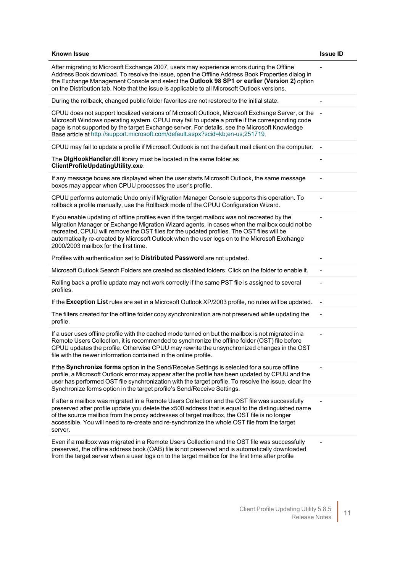| <b>Known Issue</b>                                                                                                                                                                                                                                                                                                                                                                                                                     | <b>Issue ID</b> |
|----------------------------------------------------------------------------------------------------------------------------------------------------------------------------------------------------------------------------------------------------------------------------------------------------------------------------------------------------------------------------------------------------------------------------------------|-----------------|
| After migrating to Microsoft Exchange 2007, users may experience errors during the Offline<br>Address Book download. To resolve the issue, open the Offline Address Book Properties dialog in<br>the Exchange Management Console and select the Outlook 98 SP1 or earlier (Version 2) option<br>on the Distribution tab. Note that the issue is applicable to all Microsoft Outlook versions.                                          |                 |
| During the rollback, changed public folder favorites are not restored to the initial state.                                                                                                                                                                                                                                                                                                                                            |                 |
| CPUU does not support localized versions of Microsoft Outlook, Microsoft Exchange Server, or the<br>Microsoft Windows operating system. CPUU may fail to update a profile if the corresponding code<br>page is not supported by the target Exchange server. For details, see the Microsoft Knowledge<br>Base article at http://support.microsoft.com/default.aspx?scid=kb;en-us;251719.                                                |                 |
| CPUU may fail to update a profile if Microsoft Outlook is not the default mail client on the computer.                                                                                                                                                                                                                                                                                                                                 |                 |
| The DigHookHandler.dll library must be located in the same folder as<br>ClientProfileUpdatingUtility.exe.                                                                                                                                                                                                                                                                                                                              |                 |
| If any message boxes are displayed when the user starts Microsoft Outlook, the same message<br>boxes may appear when CPUU processes the user's profile.                                                                                                                                                                                                                                                                                |                 |
| CPUU performs automatic Undo only if Migration Manager Console supports this operation. To<br>rollback a profile manually, use the Rollback mode of the CPUU Configuration Wizard.                                                                                                                                                                                                                                                     |                 |
| If you enable updating of offline profiles even if the target mailbox was not recreated by the<br>Migration Manager or Exchange Migration Wizard agents, in cases when the mailbox could not be<br>recreated, CPUU will remove the OST files for the updated profiles. The OST files will be<br>automatically re-created by Microsoft Outlook when the user logs on to the Microsoft Exchange<br>2000/2003 mailbox for the first time. |                 |
| Profiles with authentication set to Distributed Password are not updated.                                                                                                                                                                                                                                                                                                                                                              |                 |
| Microsoft Outlook Search Folders are created as disabled folders. Click on the folder to enable it.                                                                                                                                                                                                                                                                                                                                    |                 |
| Rolling back a profile update may not work correctly if the same PST file is assigned to several<br>profiles.                                                                                                                                                                                                                                                                                                                          |                 |
| If the Exception List rules are set in a Microsoft Outlook XP/2003 profile, no rules will be updated.                                                                                                                                                                                                                                                                                                                                  |                 |
| The filters created for the offline folder copy synchronization are not preserved while updating the<br>profile.                                                                                                                                                                                                                                                                                                                       |                 |
| If a user uses offline profile with the cached mode turned on but the mailbox is not migrated in a<br>Remote Users Collection, it is recommended to synchronize the offline folder (OST) file before<br>CPUU updates the profile. Otherwise CPUU may rewrite the unsynchronized changes in the OST<br>file with the newer information contained in the online profile.                                                                 |                 |
| If the Synchronize forms option in the Send/Receive Settings is selected for a source offline<br>profile, a Microsoft Outlook error may appear after the profile has been updated by CPUU and the<br>user has performed OST file synchronization with the target profile. To resolve the issue, clear the<br>Synchronize forms option in the target profile's Send/Receive Settings.                                                   |                 |
| If after a mailbox was migrated in a Remote Users Collection and the OST file was successfully<br>preserved after profile update you delete the x500 address that is equal to the distinguished name<br>of the source mailbox from the proxy addresses of target mailbox, the OST file is no longer<br>accessible. You will need to re-create and re-synchronize the whole OST file from the target<br>server.                         |                 |
| Even if a mailbox was migrated in a Remote Users Collection and the OST file was successfully<br>preserved, the offline address book (OAB) file is not preserved and is automatically downloaded                                                                                                                                                                                                                                       |                 |

from the target server when a user logs on to the target mailbox for the first time after profile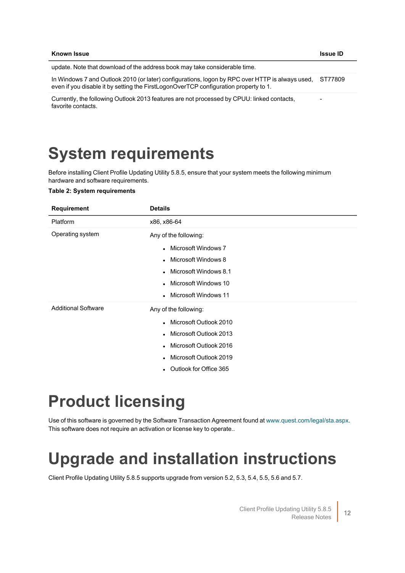| Known Issue                                                                                                                                                                                     | <b>Issue ID</b> |
|-------------------------------------------------------------------------------------------------------------------------------------------------------------------------------------------------|-----------------|
| update. Note that download of the address book may take considerable time.                                                                                                                      |                 |
| In Windows 7 and Outlook 2010 (or later) configurations, logon by RPC over HTTP is always used, ST77809<br>even if you disable it by setting the FirstLogonOverTCP configuration property to 1. |                 |
| Currently, the following Outlook 2013 features are not processed by CPUU: linked contacts,<br>favorite contacts.                                                                                | -               |

## <span id="page-11-0"></span>**System requirements**

Before installing Client Profile Updating Utility 5.8.5, ensure that your system meets the following minimum hardware and software requirements.

#### **Table 2: System requirements**

| <b>Requirement</b>         | <b>Details</b>                      |
|----------------------------|-------------------------------------|
| Platform                   | x86, x86-64                         |
| Operating system           | Any of the following:               |
|                            | • Microsoft Windows 7               |
|                            | • Microsoft Windows 8               |
|                            | Microsoft Windows 8.1<br>$\bullet$  |
|                            | Microsoft Windows 10<br>$\bullet$   |
|                            | • Microsoft Windows 11              |
| <b>Additional Software</b> | Any of the following:               |
|                            | • Microsoft Outlook 2010            |
|                            | Microsoft Outlook 2013<br>$\bullet$ |
|                            | Microsoft Outlook 2016<br>$\bullet$ |
|                            | Microsoft Outlook 2019<br>$\bullet$ |
|                            | Outlook for Office 365<br>$\bullet$ |
|                            |                                     |

## <span id="page-11-1"></span>**Product licensing**

<span id="page-11-2"></span>Use of this software is governed by the Software Transaction Agreement found at [www.quest.com/legal/sta.aspx](http://www.quest.com/legal/sta.aspx). This software does not require an activation or license key to operate..

## **Upgrade and installation instructions**

Client Profile Updating Utility 5.8.5 supports upgrade from version 5.2, 5.3, 5.4, 5.5, 5.6 and 5.7.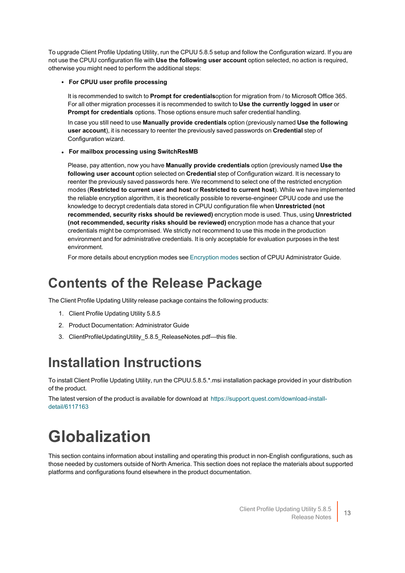To upgrade Client Profile Updating Utility, run the CPUU 5.8.5 setup and follow the Configuration wizard. If you are not use the CPUU configuration file with **Use the following user account** option selected, no action is required, otherwise you might need to perform the additional steps:

### <sup>l</sup> **For CPUU user profile processing**

It is recommended to switch to **Prompt for credentials**option for migration from / to Microsoft Office 365. For all other migration processes it is recommended to switch to **Use the currently logged in user** or **Prompt for credentials** options. Those options ensure much safer credential handling.

In case you still need to use **Manually provide credentials** option (previously named **Use the following user account**), it is necessary to reenter the previously saved passwords on **Credential** step of Configuration wizard.

### <sup>l</sup> **For mailbox processing using SwitchResMB**

Please, pay attention, now you have **Manually provide credentials** option (previously named **Use the following user account** option selected on **Credential** step of Configuration wizard. It is necessary to reenter the previously saved passwords here. We recommend to select one of the restricted encryption modes (**Restricted to current user and host** or **Restricted to current host**). While we have implemented the reliable encryption algorithm, it is theoretically possible to reverse-engineer CPUU code and use the knowledge to decrypt credentials data stored in CPUU configuration file when **Unrestricted (not recommended, security risks should be reviewed)** encryption mode is used. Thus, using **Unrestricted (not recommended, security risks should be reviewed)** encryption mode has a chance that your credentials might be compromised. We strictly not recommend to use this mode in the production environment and for administrative credentials. It is only acceptable for evaluation purposes in the test environment.

For more details about encryption modes see [Encryption](http://support.quest.com/technical-documents/client-profile-updating-utility/5.8.5/administrator-guide/usage/typical-scenario/encryption-modes) modes section of CPUU Administrator Guide.

## **Contents of the Release Package**

The Client Profile Updating Utility release package contains the following products:

- 1. Client Profile Updating Utility 5.8.5
- 2. Product Documentation: Administrator Guide
- 3. ClientProfileUpdatingUtility\_5.8.5\_ReleaseNotes.pdf—this file.

## **Installation Instructions**

To install Client Profile Updating Utility, run the CPUU.5.8.5.\*.msi installation package provided in your distribution of the product.

The latest version of the product is available for download at [https://support.quest.com/download-install](https://support.quest.com/download-install-detail/6117163)[detail/6117163](https://support.quest.com/download-install-detail/6117163)

## **Globalization**

This section contains information about installing and operating this product in non-English configurations, such as those needed by customers outside of North America. This section does not replace the materials about supported platforms and configurations found elsewhere in the product documentation.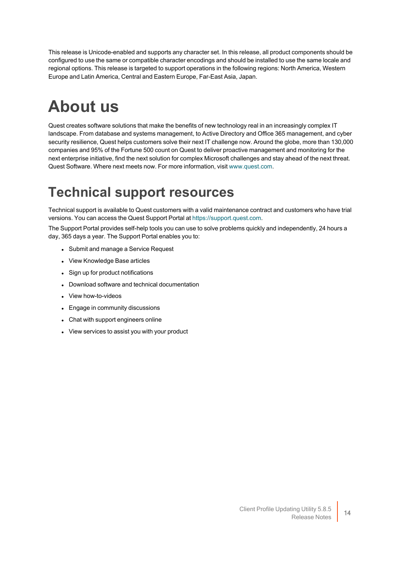This release is Unicode-enabled and supports any character set. In this release, all product components should be configured to use the same or compatible character encodings and should be installed to use the same locale and regional options. This release is targeted to support operations in the following regions: North America, Western Europe and Latin America, Central and Eastern Europe, Far-East Asia, Japan.

# **About us**

Quest creates software solutions that make the benefits of new technology real in an increasingly complex IT landscape. From database and systems management, to Active Directory and Office 365 management, and cyber security resilience, Quest helps customers solve their next IT challenge now. Around the globe, more than 130,000 companies and 95% of the Fortune 500 count on Quest to deliver proactive management and monitoring for the next enterprise initiative, find the next solution for complex Microsoft challenges and stay ahead of the next threat. Quest Software. Where next meets now. For more information, visit [www.quest.com](https://www.quest.com/).

## **Technical support resources**

Technical support is available to Quest customers with a valid maintenance contract and customers who have trial versions. You can access the Quest Support Portal at [https://support.quest.com.](https://support.quest.com/)

The Support Portal provides self-help tools you can use to solve problems quickly and independently, 24 hours a day, 365 days a year. The Support Portal enables you to:

- Submit and manage a Service Request
- View Knowledge Base articles
- Sign up for product notifications
- Download software and technical documentation
- View how-to-videos
- Engage in community discussions
- Chat with support engineers online
- View services to assist you with your product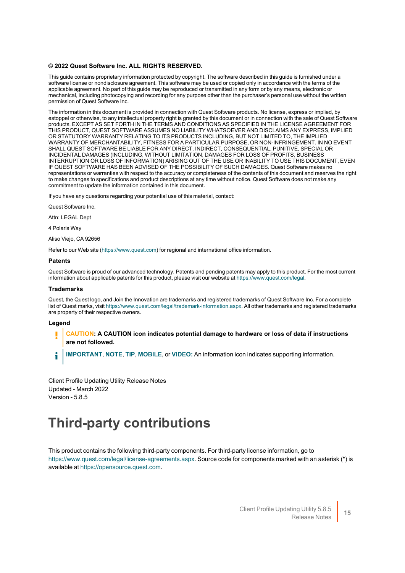#### **© 2022 Quest Software Inc. ALL RIGHTS RESERVED.**

This guide contains proprietary information protected by copyright. The software described in this guide is furnished under a software license or nondisclosure agreement. This software may be used or copied only in accordance with the terms of the applicable agreement. No part of this guide may be reproduced or transmitted in any form or by any means, electronic or mechanical, including photocopying and recording for any purpose other than the purchaser's personal use without the written permission of Quest Software Inc.

The information in this document is provided in connection with Quest Software products. No license, express or implied, by estoppel or otherwise, to any intellectual property right is granted by this document or in connection with the sale of Quest Software products. EXCEPT AS SET FORTH IN THE TERMS AND CONDITIONS AS SPECIFIED IN THE LICENSE AGREEMENT FOR THIS PRODUCT, QUEST SOFTWARE ASSUMES NO LIABILITY WHATSOEVER AND DISCLAIMS ANY EXPRESS, IMPLIED OR STATUTORY WARRANTY RELATING TO ITS PRODUCTS INCLUDING, BUT NOT LIMITED TO, THE IMPLIED WARRANTY OF MERCHANTABILITY, FITNESS FOR A PARTICULAR PURPOSE, OR NON-INFRINGEMENT. IN NO EVENT SHALL QUEST SOFTWARE BE LIABLE FOR ANY DIRECT, INDIRECT, CONSEQUENTIAL, PUNITIVE, SPECIAL OR INCIDENTAL DAMAGES (INCLUDING, WITHOUT LIMITATION, DAMAGES FOR LOSS OF PROFITS, BUSINESS INTERRUPTION OR LOSS OF INFORMATION) ARISING OUT OF THE USE OR INABILITY TO USE THIS DOCUMENT, EVEN IF QUEST SOFTWARE HAS BEEN ADVISED OF THE POSSIBILITY OF SUCH DAMAGES. Quest Software makes no representations or warranties with respect to the accuracy or completeness of the contents of this document and reserves the right to make changes to specifications and product descriptions at any time without notice. Quest Software does not make any commitment to update the information contained in this document.

If you have any questions regarding your potential use of this material, contact:

Quest Software Inc.

Attn: LEGAL Dept

4 Polaris Way

Aliso Viejo, CA 92656

Refer to our Web site ([https://www.quest.com\)](https://www.quest.com/) for regional and international office information.

#### **Patents**

Quest Software is proud of our advanced technology. Patents and pending patents may apply to this product. For the most current information about applicable patents for this product, please visit our website at <https://www.quest.com/legal>.

#### **Trademarks**

Quest, the Quest logo, and Join the Innovation are trademarks and registered trademarks of Quest Software Inc. For a complete list of Quest marks, visit [https://www.quest.com/legal/trademark-information.aspx.](https://www.quest.com/legal/trademark-information.aspx) All other trademarks and registered trademarks are property of their respective owners.

#### **Legend**

**CAUTION: A CAUTION icon indicates potential damage to hardware or loss of data if instructions are not followed.**

**IMPORTANT**, **NOTE**, **TIP**, **MOBILE**, or **VIDEO:** An information icon indicates supporting information. i

Client Profile Updating Utility Release Notes Updated - March 2022 Version - 5.8.5

### **Third-party contributions**

This product contains the following third-party components. For third-party license information, go to [https://www.quest.com/legal/license-agreements.aspx.](https://www.quest.com/legal/license-agreements.aspx) Source code for components marked with an asterisk (\*) is available at [https://opensource.quest.com](https://opensource.quest.com/).